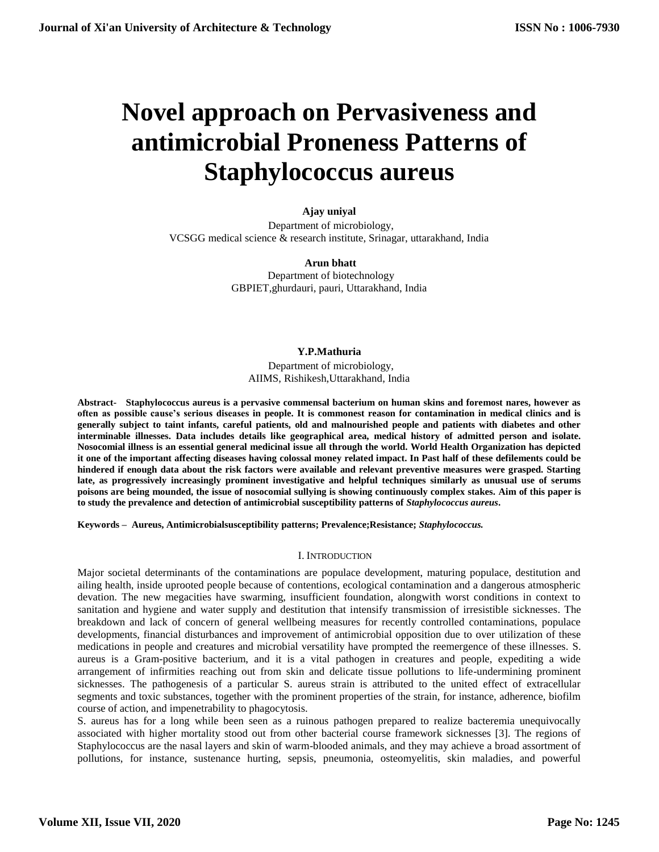# **Novel approach on Pervasiveness and antimicrobial Proneness Patterns of Staphylococcus aureus**

**Ajay uniyal**

Department of microbiology, VCSGG medical science & research institute, Srinagar, uttarakhand, India

> **Arun bhatt** Department of biotechnology GBPIET,ghurdauri, pauri, Uttarakhand, India

## **[Y.P.Mathuria](mailto:%20arun.bhatt@%20rediffmail.com%20%20%20%20Y.P.Mathuria%20%20Department%20of%20microbiology,%20AIIMS,%20Rishikesh,Uttarakhand,%20Indiaypm.1702@%20yahoo.com)**

Department of microbiology, [AIIMS, Rishikesh,Uttarakhand, India](mailto:%20arun.bhatt@%20rediffmail.com%20%20%20%20Y.P.Mathuria%20%20Department%20of%20microbiology,%20AIIMS,%20Rishikesh,Uttarakhand,%20Indiaypm.1702@%20yahoo.com)

**Abstract- Staphylococcus aureus is a pervasive commensal bacterium on human skins and foremost nares, however as often as possible cause's serious diseases in people. It is commonest reason for contamination in medical clinics and is generally subject to taint infants, careful patients, old and malnourished people and patients with diabetes and other interminable illnesses. Data includes details like geographical area, medical history of admitted person and isolate. Nosocomial illness is an essential general medicinal issue all through the world. World Health Organization has depicted it one of the important affecting diseases having colossal money related impact. In Past half of these defilements could be hindered if enough data about the risk factors were available and relevant preventive measures were grasped. Starting late, as progressively increasingly prominent investigative and helpful techniques similarly as unusual use of serums poisons are being mounded, the issue of nosocomial sullying is showing continuously complex stakes. Aim of this paper is to study the prevalence and detection of antimicrobial susceptibility patterns of** *Staphylococcus aureus***.**

**Keywords – Aureus, Antimicrobialsusceptibility patterns; Prevalence;Resistance;** *Staphylococcus.*

## I. INTRODUCTION

Major societal determinants of the contaminations are populace development, maturing populace, destitution and ailing health, inside uprooted people because of contentions, ecological contamination and a dangerous atmospheric devation. The new megacities have swarming, insufficient foundation, alongwith worst conditions in context to sanitation and hygiene and water supply and destitution that intensify transmission of irresistible sicknesses. The breakdown and lack of concern of general wellbeing measures for recently controlled contaminations, populace developments, financial disturbances and improvement of antimicrobial opposition due to over utilization of these medications in people and creatures and microbial versatility have prompted the reemergence of these illnesses. S. aureus is a Gram-positive bacterium, and it is a vital pathogen in creatures and people, expediting a wide arrangement of infirmities reaching out from skin and delicate tissue pollutions to life-undermining prominent sicknesses. The pathogenesis of a particular S. aureus strain is attributed to the united effect of extracellular segments and toxic substances, together with the prominent properties of the strain, for instance, adherence, biofilm course of action, and impenetrability to phagocytosis.

S. aureus has for a long while been seen as a ruinous pathogen prepared to realize bacteremia unequivocally associated with higher mortality stood out from other bacterial course framework sicknesses [3]. The regions of Staphylococcus are the nasal layers and skin of warm-blooded animals, and they may achieve a broad assortment of pollutions, for instance, sustenance hurting, sepsis, pneumonia, osteomyelitis, skin maladies, and powerful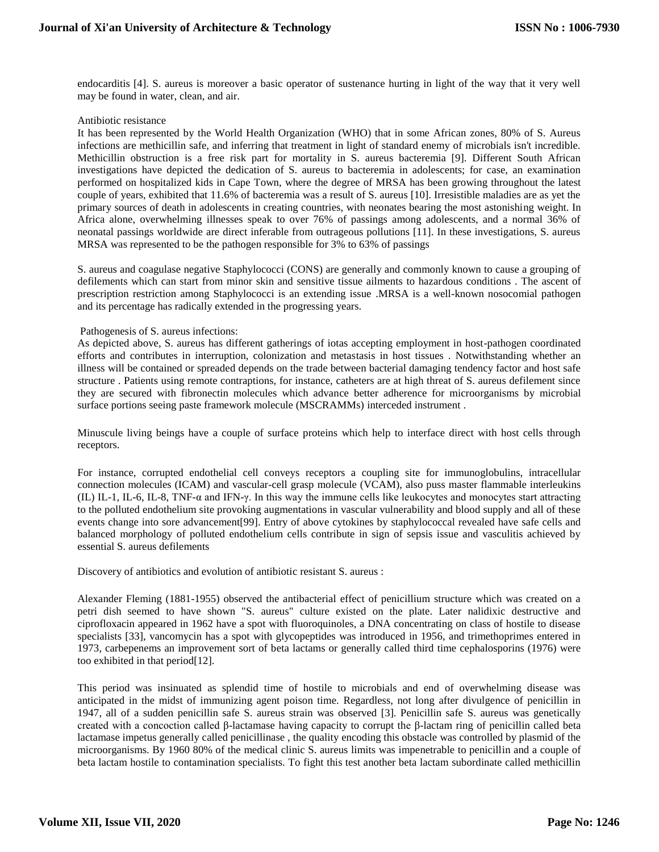endocarditis [4]. S. aureus is moreover a basic operator of sustenance hurting in light of the way that it very well may be found in water, clean, and air.

#### Antibiotic resistance

It has been represented by the World Health Organization (WHO) that in some African zones, 80% of S. Aureus infections are methicillin safe, and inferring that treatment in light of standard enemy of microbials isn't incredible. Methicillin obstruction is a free risk part for mortality in S. aureus bacteremia [9]. Different South African investigations have depicted the dedication of S. aureus to bacteremia in adolescents; for case, an examination performed on hospitalized kids in Cape Town, where the degree of MRSA has been growing throughout the latest couple of years, exhibited that 11.6% of bacteremia was a result of S. aureus [10]. Irresistible maladies are as yet the primary sources of death in adolescents in creating countries, with neonates bearing the most astonishing weight. In Africa alone, overwhelming illnesses speak to over 76% of passings among adolescents, and a normal 36% of neonatal passings worldwide are direct inferable from outrageous pollutions [11]. In these investigations, S. aureus MRSA was represented to be the pathogen responsible for 3% to 63% of passings

S. aureus and coagulase negative Staphylococci (CONS) are generally and commonly known to cause a grouping of defilements which can start from minor skin and sensitive tissue ailments to hazardous conditions . The ascent of prescription restriction among Staphylococci is an extending issue .MRSA is a well-known nosocomial pathogen and its percentage has radically extended in the progressing years.

## Pathogenesis of S. aureus infections:

As depicted above, S. aureus has different gatherings of iotas accepting employment in host-pathogen coordinated efforts and contributes in interruption, colonization and metastasis in host tissues . Notwithstanding whether an illness will be contained or spreaded depends on the trade between bacterial damaging tendency factor and host safe structure . Patients using remote contraptions, for instance, catheters are at high threat of S. aureus defilement since they are secured with fibronectin molecules which advance better adherence for microorganisms by microbial surface portions seeing paste framework molecule (MSCRAMMs) interceded instrument .

Minuscule living beings have a couple of surface proteins which help to interface direct with host cells through receptors.

For instance, corrupted endothelial cell conveys receptors a coupling site for immunoglobulins, intracellular connection molecules (ICAM) and vascular-cell grasp molecule (VCAM), also puss master flammable interleukins (IL) IL-1, IL-6, IL-8, TNF-α and IFN-γ. In this way the immune cells like leukocytes and monocytes start attracting to the polluted endothelium site provoking augmentations in vascular vulnerability and blood supply and all of these events change into sore advancement[99]. Entry of above cytokines by staphylococcal revealed have safe cells and balanced morphology of polluted endothelium cells contribute in sign of sepsis issue and vasculitis achieved by essential S. aureus defilements

Discovery of antibiotics and evolution of antibiotic resistant S. aureus :

Alexander Fleming (1881-1955) observed the antibacterial effect of penicillium structure which was created on a petri dish seemed to have shown "S. aureus" culture existed on the plate. Later nalidixic destructive and ciprofloxacin appeared in 1962 have a spot with fluoroquinoles, a DNA concentrating on class of hostile to disease specialists [33], vancomycin has a spot with glycopeptides was introduced in 1956, and trimethoprimes entered in 1973, carbepenems an improvement sort of beta lactams or generally called third time cephalosporins (1976) were too exhibited in that period[12].

This period was insinuated as splendid time of hostile to microbials and end of overwhelming disease was anticipated in the midst of immunizing agent poison time. Regardless, not long after divulgence of penicillin in 1947, all of a sudden penicillin safe S. aureus strain was observed [3]. Penicillin safe S. aureus was genetically created with a concoction called β-lactamase having capacity to corrupt the β-lactam ring of penicillin called beta lactamase impetus generally called penicillinase , the quality encoding this obstacle was controlled by plasmid of the microorganisms. By 1960 80% of the medical clinic S. aureus limits was impenetrable to penicillin and a couple of beta lactam hostile to contamination specialists. To fight this test another beta lactam subordinate called methicillin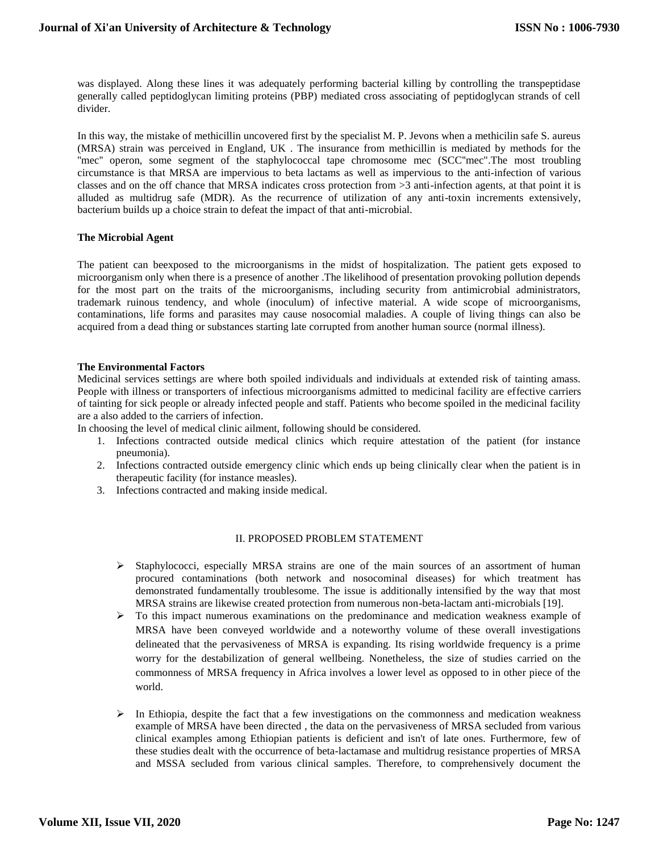was displayed. Along these lines it was adequately performing bacterial killing by controlling the transpeptidase generally called peptidoglycan limiting proteins (PBP) mediated cross associating of peptidoglycan strands of cell divider.

In this way, the mistake of methicillin uncovered first by the specialist M. P. Jevons when a methicilin safe S. aureus (MRSA) strain was perceived in England, UK . The insurance from methicillin is mediated by methods for the "mec" operon, some segment of the staphylococcal tape chromosome mec (SCC"mec".The most troubling circumstance is that MRSA are impervious to beta lactams as well as impervious to the anti-infection of various classes and on the off chance that MRSA indicates cross protection from >3 anti-infection agents, at that point it is alluded as multidrug safe (MDR). As the recurrence of utilization of any anti-toxin increments extensively, bacterium builds up a choice strain to defeat the impact of that anti-microbial.

## **The Microbial Agent**

The patient can beexposed to the microorganisms in the midst of hospitalization. The patient gets exposed to microorganism only when there is a presence of another .The likelihood of presentation provoking pollution depends for the most part on the traits of the microorganisms, including security from antimicrobial administrators, trademark ruinous tendency, and whole (inoculum) of infective material. A wide scope of microorganisms, contaminations, life forms and parasites may cause nosocomial maladies. A couple of living things can also be acquired from a dead thing or substances starting late corrupted from another human source (normal illness).

## **The Environmental Factors**

Medicinal services settings are where both spoiled individuals and individuals at extended risk of tainting amass. People with illness or transporters of infectious microorganisms admitted to medicinal facility are effective carriers of tainting for sick people or already infected people and staff. Patients who become spoiled in the medicinal facility are a also added to the carriers of infection.

In choosing the level of medical clinic ailment, following should be considered.

- 1. Infections contracted outside medical clinics which require attestation of the patient (for instance pneumonia).
- 2. Infections contracted outside emergency clinic which ends up being clinically clear when the patient is in therapeutic facility (for instance measles).
- 3. Infections contracted and making inside medical.

# II. PROPOSED PROBLEM STATEMENT

- $\triangleright$  Staphylococci, especially MRSA strains are one of the main sources of an assortment of human procured contaminations (both network and nosocominal diseases) for which treatment has demonstrated fundamentally troublesome. The issue is additionally intensified by the way that most MRSA strains are likewise created protection from numerous non-beta-lactam anti-microbials [19].
- To this impact numerous examinations on the predominance and medication weakness example of MRSA have been conveyed worldwide and a noteworthy volume of these overall investigations delineated that the pervasiveness of MRSA is expanding. Its rising worldwide frequency is a prime worry for the destabilization of general wellbeing. Nonetheless, the size of studies carried on the commonness of MRSA frequency in Africa involves a lower level as opposed to in other piece of the world.
- $\triangleright$  In Ethiopia, despite the fact that a few investigations on the commonness and medication weakness example of MRSA have been directed , the data on the pervasiveness of MRSA secluded from various clinical examples among Ethiopian patients is deficient and isn't of late ones. Furthermore, few of these studies dealt with the occurrence of beta-lactamase and multidrug resistance properties of MRSA and MSSA secluded from various clinical samples. Therefore, to comprehensively document the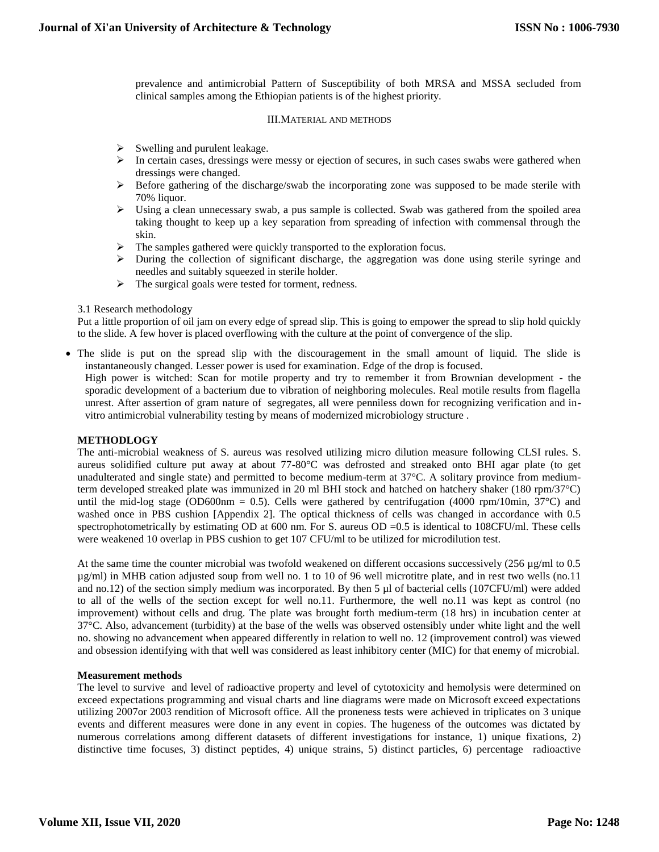prevalence and antimicrobial Pattern of Susceptibility of both MRSA and MSSA secluded from clinical samples among the Ethiopian patients is of the highest priority.

## III.MATERIAL AND METHODS

- $\triangleright$  Swelling and purulent leakage.
- $\triangleright$  In certain cases, dressings were messy or ejection of secures, in such cases swabs were gathered when dressings were changed.
- Before gathering of the discharge/swab the incorporating zone was supposed to be made sterile with 70% liquor.
- $\triangleright$  Using a clean unnecessary swab, a pus sample is collected. Swab was gathered from the spoiled area taking thought to keep up a key separation from spreading of infection with commensal through the skin.
- $\triangleright$  The samples gathered were quickly transported to the exploration focus.
- $\triangleright$  During the collection of significant discharge, the aggregation was done using sterile syringe and needles and suitably squeezed in sterile holder.
- > The surgical goals were tested for torment, redness.

3.1 Research methodology

Put a little proportion of oil jam on every edge of spread slip. This is going to empower the spread to slip hold quickly to the slide. A few hover is placed overflowing with the culture at the point of convergence of the slip.

 The slide is put on the spread slip with the discouragement in the small amount of liquid. The slide is instantaneously changed. Lesser power is used for examination. Edge of the drop is focused.

High power is witched: Scan for motile property and try to remember it from Brownian development - the sporadic development of a bacterium due to vibration of neighboring molecules. Real motile results from flagella unrest. After assertion of gram nature of segregates, all were penniless down for recognizing verification and invitro antimicrobial vulnerability testing by means of modernized microbiology structure .

# **METHODLOGY**

The anti-microbial weakness of S. aureus was resolved utilizing micro dilution measure following CLSI rules. S. aureus solidified culture put away at about 77-80°C was defrosted and streaked onto BHI agar plate (to get unadulterated and single state) and permitted to become medium-term at 37°C. A solitary province from mediumterm developed streaked plate was immunized in 20 ml BHI stock and hatched on hatchery shaker (180 rpm/37°C) until the mid-log stage (OD600nm = 0.5). Cells were gathered by centrifugation (4000 rpm/10min,  $37^{\circ}$ C) and washed once in PBS cushion [Appendix 2]. The optical thickness of cells was changed in accordance with 0.5 spectrophotometrically by estimating OD at 600 nm. For S. aureus OD =0.5 is identical to 108CFU/ml. These cells were weakened 10 overlap in PBS cushion to get 107 CFU/ml to be utilized for microdilution test.

At the same time the counter microbial was twofold weakened on different occasions successively  $(256 \mu g/ml$  to 0.5 µg/ml) in MHB cation adjusted soup from well no. 1 to 10 of 96 well microtitre plate, and in rest two wells (no.11 and no.12) of the section simply medium was incorporated. By then 5  $\mu$ l of bacterial cells (107CFU/ml) were added to all of the wells of the section except for well no.11. Furthermore, the well no.11 was kept as control (no improvement) without cells and drug. The plate was brought forth medium-term (18 hrs) in incubation center at 37°C. Also, advancement (turbidity) at the base of the wells was observed ostensibly under white light and the well no. showing no advancement when appeared differently in relation to well no. 12 (improvement control) was viewed and obsession identifying with that well was considered as least inhibitory center (MIC) for that enemy of microbial.

## **Measurement methods**

The level to survive and level of radioactive property and level of cytotoxicity and hemolysis were determined on exceed expectations programming and visual charts and line diagrams were made on Microsoft exceed expectations utilizing 2007or 2003 rendition of Microsoft office. All the proneness tests were achieved in triplicates on 3 unique events and different measures were done in any event in copies. The hugeness of the outcomes was dictated by numerous correlations among different datasets of different investigations for instance, 1) unique fixations, 2) distinctive time focuses, 3) distinct peptides, 4) unique strains, 5) distinct particles, 6) percentage radioactive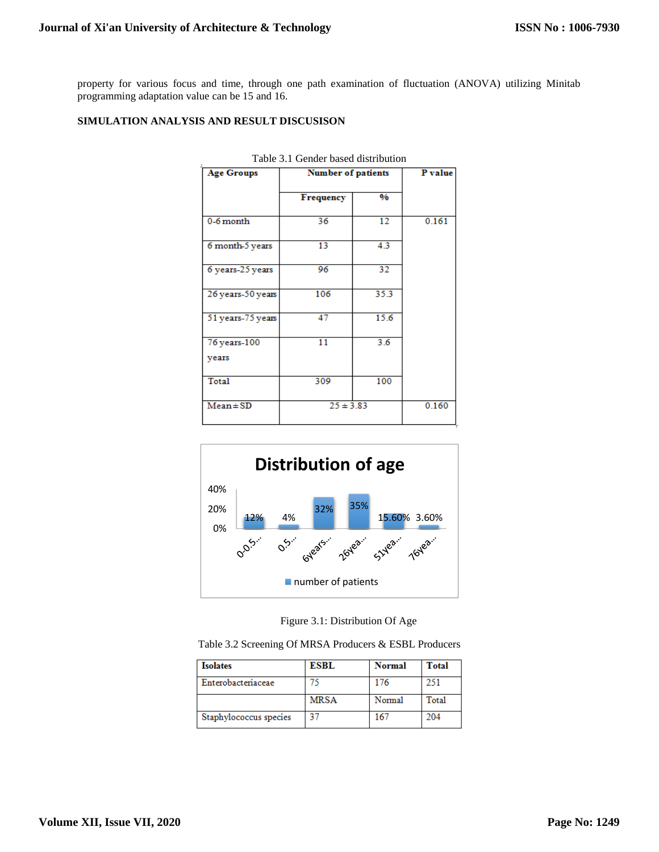property for various focus and time, through one path examination of fluctuation (ANOVA) utilizing Minitab programming adaptation value can be 15 and 16.

## **SIMULATION ANALYSIS AND RESULT DISCUSISON**

| <b>Age Groups</b>     | <b>Number of patients</b> | P value |       |
|-----------------------|---------------------------|---------|-------|
|                       | <b>Frequency</b>          | $\%$    |       |
| $0-6$ month           | 36                        | 12      | 0.161 |
| 6 month-5 years       | 13                        | 4.3     |       |
| 6 years-25 years      | 96                        | 32      |       |
| 26 years-50 years     | 106                       | 35.3    |       |
| 51 years-75 years     | 47                        | 15.6    |       |
| 76 years-100<br>years | $\overline{11}$           | 3.6     |       |
| Total                 | 309                       | 100     |       |
| $Mean \pm SD$         | $25 \pm 3.83$             | 0.160   |       |

Table 3.1 Gender based distribution



Figure 3.1: Distribution Of Age

Table 3.2 Screening Of MRSA Producers & ESBL Producers

| <b>Isolates</b>        | <b>ESBL</b> | <b>Normal</b> | Total |
|------------------------|-------------|---------------|-------|
| Enterobacteriaceae     |             | 176           | 251   |
|                        | <b>MRSA</b> | Normal        | Total |
| Staphylococcus species | 27          | 167           | 204   |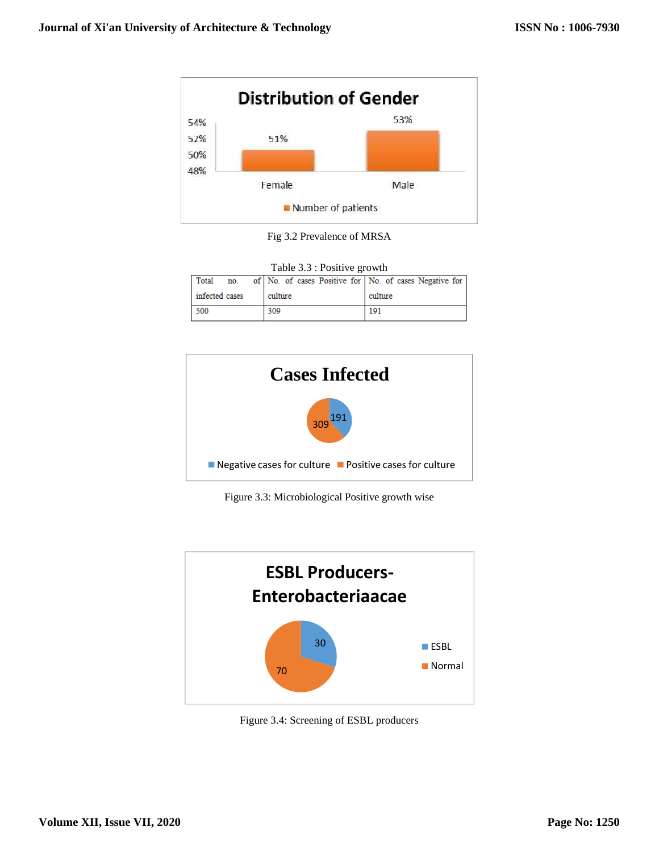

Fig 3.2 Prevalence of MRSA

| Table 3.3 : Positive growth |  |         |     |  |         |  |  |     |  |  |                                                                  |  |
|-----------------------------|--|---------|-----|--|---------|--|--|-----|--|--|------------------------------------------------------------------|--|
|                             |  |         |     |  |         |  |  |     |  |  | Total no. of No. of cases Positive for No. of cases Negative for |  |
| infected cases              |  | culture |     |  | culture |  |  |     |  |  |                                                                  |  |
| 500                         |  |         | 309 |  |         |  |  | 191 |  |  |                                                                  |  |



Figure 3.3: Microbiological Positive growth wise



Figure 3.4: Screening of ESBL producers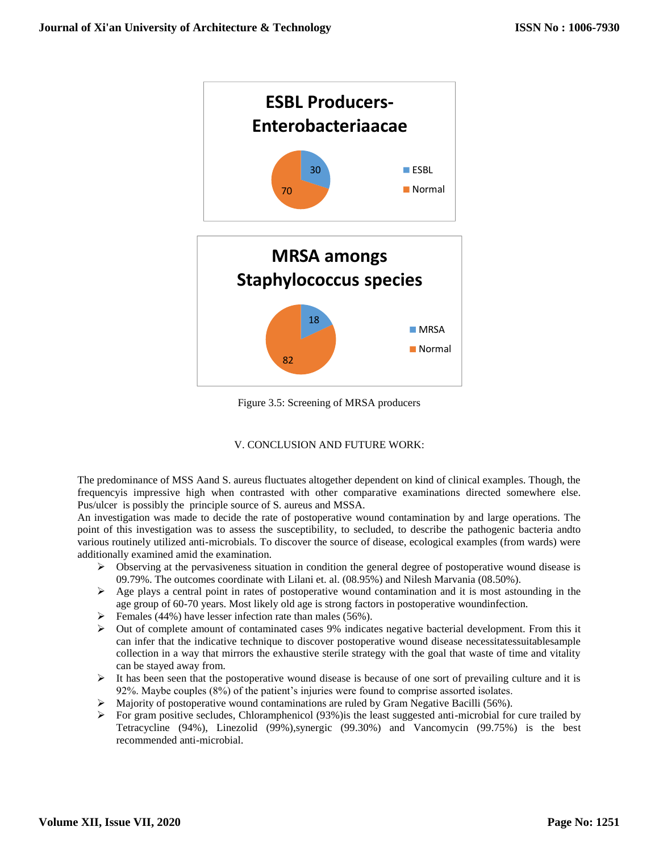

Figure 3.5: Screening of MRSA producers

# V. CONCLUSION AND FUTURE WORK:

The predominance of MSS Aand S. aureus fluctuates altogether dependent on kind of clinical examples. Though, the frequencyis impressive high when contrasted with other comparative examinations directed somewhere else. Pus/ulcer is possibly the principle source of S. aureus and MSSA.

An investigation was made to decide the rate of postoperative wound contamination by and large operations. The point of this investigation was to assess the susceptibility, to secluded, to describe the pathogenic bacteria andto various routinely utilized anti-microbials. To discover the source of disease, ecological examples (from wards) were additionally examined amid the examination.

- $\triangleright$  Observing at the pervasiveness situation in condition the general degree of postoperative wound disease is 09.79%. The outcomes coordinate with Lilani et. al. (08.95%) and Nilesh Marvania (08.50%).
- $\triangleright$  Age plays a central point in rates of postoperative wound contamination and it is most astounding in the age group of 60-70 years. Most likely old age is strong factors in postoperative woundinfection.
- $\triangleright$  Females (44%) have lesser infection rate than males (56%).
- $\triangleright$  Out of complete amount of contaminated cases 9% indicates negative bacterial development. From this it can infer that the indicative technique to discover postoperative wound disease necessitatessuitablesample collection in a way that mirrors the exhaustive sterile strategy with the goal that waste of time and vitality can be stayed away from.
- $\triangleright$  It has been seen that the postoperative wound disease is because of one sort of prevailing culture and it is 92%. Maybe couples (8%) of the patient's injuries were found to comprise assorted isolates.
- $\triangleright$  Majority of postoperative wound contaminations are ruled by Gram Negative Bacilli (56%).
- For gram positive secludes, Chloramphenicol (93%)is the least suggested anti-microbial for cure trailed by Tetracycline (94%), Linezolid (99%),synergic (99.30%) and Vancomycin (99.75%) is the best recommended anti-microbial.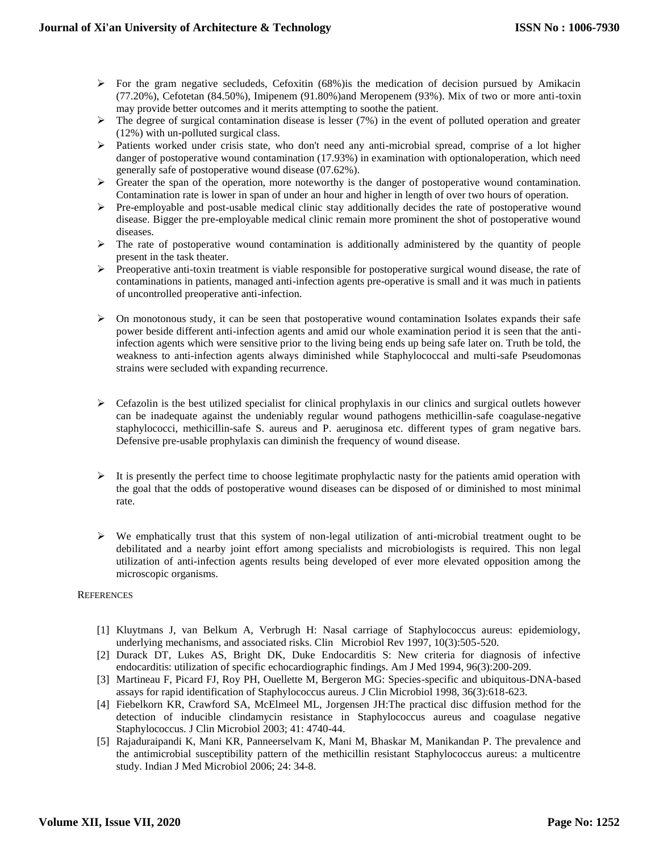- $\triangleright$  For the gram negative secludeds, Cefoxitin (68%) is the medication of decision pursued by Amikacin (77.20%), Cefotetan (84.50%), Imipenem (91.80%)and Meropenem (93%). Mix of two or more anti-toxin may provide better outcomes and it merits attempting to soothe the patient.
- $\triangleright$  The degree of surgical contamination disease is lesser (7%) in the event of polluted operation and greater (12%) with un-polluted surgical class.
- $\triangleright$  Patients worked under crisis state, who don't need any anti-microbial spread, comprise of a lot higher danger of postoperative wound contamination (17.93%) in examination with optionaloperation, which need generally safe of postoperative wound disease (07.62%).
- $\triangleright$  Greater the span of the operation, more noteworthy is the danger of postoperative wound contamination. Contamination rate is lower in span of under an hour and higher in length of over two hours of operation.
- $\triangleright$  Pre-employable and post-usable medical clinic stay additionally decides the rate of postoperative wound disease. Bigger the pre-employable medical clinic remain more prominent the shot of postoperative wound diseases.
- $\triangleright$  The rate of postoperative wound contamination is additionally administered by the quantity of people present in the task theater.
- Preoperative anti-toxin treatment is viable responsible for postoperative surgical wound disease, the rate of contaminations in patients, managed anti-infection agents pre-operative is small and it was much in patients of uncontrolled preoperative anti-infection.
- $\triangleright$  On monotonous study, it can be seen that postoperative wound contamination Isolates expands their safe power beside different anti-infection agents and amid our whole examination period it is seen that the antiinfection agents which were sensitive prior to the living being ends up being safe later on. Truth be told, the weakness to anti-infection agents always diminished while Staphylococcal and multi-safe Pseudomonas strains were secluded with expanding recurrence.
- $\triangleright$  Cefazolin is the best utilized specialist for clinical prophylaxis in our clinics and surgical outlets however can be inadequate against the undeniably regular wound pathogens methicillin-safe coagulase-negative staphylococci, methicillin-safe S. aureus and P. aeruginosa etc. different types of gram negative bars. Defensive pre-usable prophylaxis can diminish the frequency of wound disease.
- $\triangleright$  It is presently the perfect time to choose legitimate prophylactic nasty for the patients amid operation with the goal that the odds of postoperative wound diseases can be disposed of or diminished to most minimal rate.
- $\triangleright$  We emphatically trust that this system of non-legal utilization of anti-microbial treatment ought to be debilitated and a nearby joint effort among specialists and microbiologists is required. This non legal utilization of anti-infection agents results being developed of ever more elevated opposition among the microscopic organisms.

## **REFERENCES**

- [1] Kluytmans J, van Belkum A, Verbrugh H: Nasal carriage of Staphylococcus aureus: epidemiology, underlying mechanisms, and associated risks. Clin Microbiol Rev 1997, 10(3):505-520.
- [2] Durack DT, Lukes AS, Bright DK, Duke Endocarditis S: New criteria for diagnosis of infective endocarditis: utilization of specific echocardiographic findings. Am J Med 1994, 96(3):200-209.
- [3] Martineau F, Picard FJ, Roy PH, Ouellette M, Bergeron MG: Species-specific and ubiquitous-DNA-based assays for rapid identification of Staphylococcus aureus. J Clin Microbiol 1998, 36(3):618-623.
- [4] Fiebelkorn KR, Crawford SA, McElmeel ML, Jorgensen JH:The practical disc diffusion method for the detection of inducible clindamycin resistance in Staphylococcus aureus and coagulase negative Staphylococcus. J Clin Microbiol 2003; 41: 4740-44.
- [5] Rajaduraipandi K, Mani KR, Panneerselvam K, Mani M, Bhaskar M, Manikandan P. The prevalence and the antimicrobial susceptibility pattern of the methicillin resistant Staphylococcus aureus: a multicentre study. Indian J Med Microbiol 2006; 24: 34-8.